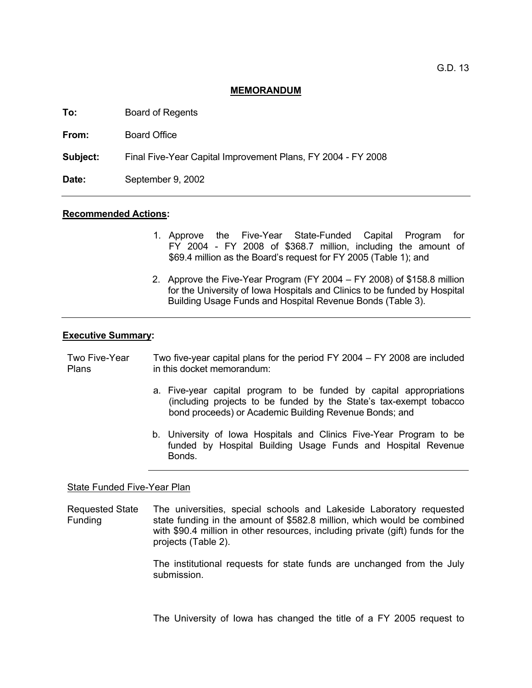#### **MEMORANDUM**

**To:** Board of Regents

**From:** Board Office

**Subject:** Final Five-Year Capital Improvement Plans, FY 2004 - FY 2008

**Date:** September 9, 2002

#### **Recommended Actions:**

- 1. Approve the Five-Year State-Funded Capital Program for FY 2004 - FY 2008 of \$368.7 million, including the amount of \$69.4 million as the Board's request for FY 2005 (Table 1); and
- 2. Approve the Five-Year Program (FY 2004 FY 2008) of \$158.8 million for the University of Iowa Hospitals and Clinics to be funded by Hospital Building Usage Funds and Hospital Revenue Bonds (Table 3).

#### **Executive Summary:**

Two Five-Year **Plans** Two five-year capital plans for the period FY 2004 – FY 2008 are included in this docket memorandum:

- a. Five-year capital program to be funded by capital appropriations (including projects to be funded by the State's tax-exempt tobacco bond proceeds) or Academic Building Revenue Bonds; and
- b. University of Iowa Hospitals and Clinics Five-Year Program to be funded by Hospital Building Usage Funds and Hospital Revenue **Bonds**

#### State Funded Five-Year Plan

Requested State Funding The universities, special schools and Lakeside Laboratory requested state funding in the amount of \$582.8 million, which would be combined with \$90.4 million in other resources, including private (gift) funds for the projects (Table 2).

> The institutional requests for state funds are unchanged from the July submission.

> The University of Iowa has changed the title of a FY 2005 request to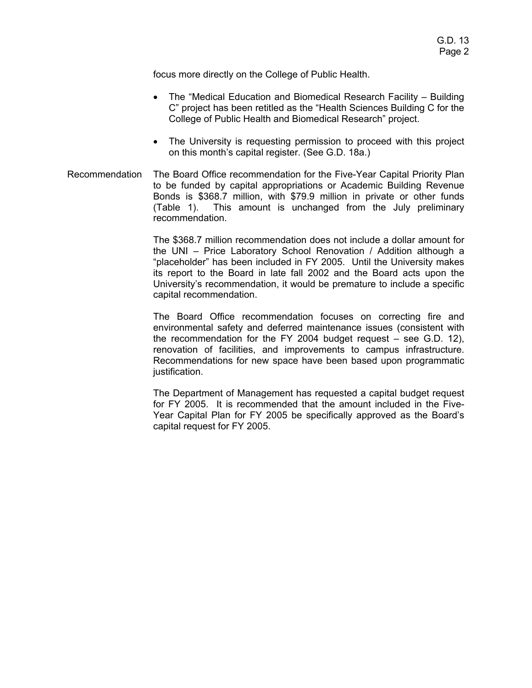focus more directly on the College of Public Health.

- The "Medical Education and Biomedical Research Facility Building C" project has been retitled as the "Health Sciences Building C for the College of Public Health and Biomedical Research" project.
- The University is requesting permission to proceed with this project on this month's capital register. (See G.D. 18a.)
- Recommendation The Board Office recommendation for the Five-Year Capital Priority Plan to be funded by capital appropriations or Academic Building Revenue Bonds is \$368.7 million, with \$79.9 million in private or other funds (Table 1). This amount is unchanged from the July preliminary recommendation.

The \$368.7 million recommendation does not include a dollar amount for the UNI – Price Laboratory School Renovation / Addition although a "placeholder" has been included in FY 2005. Until the University makes its report to the Board in late fall 2002 and the Board acts upon the University's recommendation, it would be premature to include a specific capital recommendation.

The Board Office recommendation focuses on correcting fire and environmental safety and deferred maintenance issues (consistent with the recommendation for the FY 2004 budget request – see G.D. 12), renovation of facilities, and improvements to campus infrastructure. Recommendations for new space have been based upon programmatic justification.

The Department of Management has requested a capital budget request for FY 2005. It is recommended that the amount included in the Five-Year Capital Plan for FY 2005 be specifically approved as the Board's capital request for FY 2005.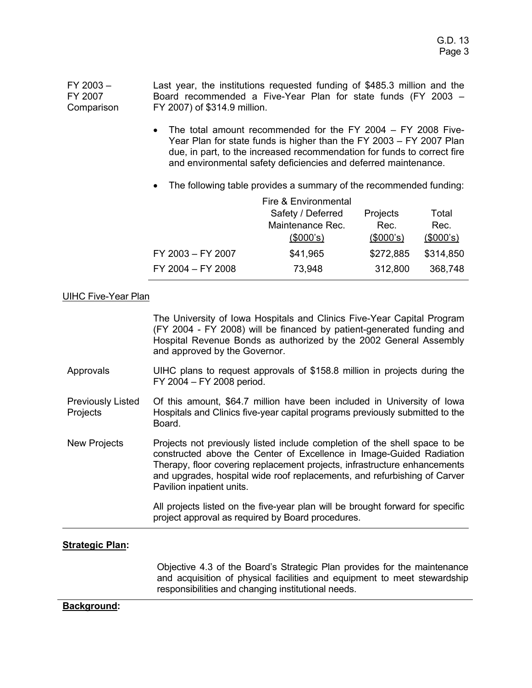FY 2003 – FY 2007 **Comparison** Last year, the institutions requested funding of \$485.3 million and the Board recommended a Five-Year Plan for state funds (FY 2003 – FY 2007) of \$314.9 million.

- The total amount recommended for the FY 2004 FY 2008 Five-Year Plan for state funds is higher than the FY 2003 – FY 2007 Plan due, in part, to the increased recommendation for funds to correct fire and environmental safety deficiencies and deferred maintenance.
- The following table provides a summary of the recommended funding:

|                   | Fire & Environmental |           |           |
|-------------------|----------------------|-----------|-----------|
|                   | Safety / Deferred    | Projects  | Total     |
|                   | Maintenance Rec.     | Rec.      | Rec.      |
|                   | (\$000's)            | (\$000's) | (\$000's) |
| FY 2003 - FY 2007 | \$41,965             | \$272,885 | \$314,850 |
| FY 2004 - FY 2008 | 73,948               | 312,800   | 368,748   |

# UIHC Five-Year Plan

The University of Iowa Hospitals and Clinics Five-Year Capital Program (FY 2004 - FY 2008) will be financed by patient-generated funding and Hospital Revenue Bonds as authorized by the 2002 General Assembly and approved by the Governor.

- Approvals UIHC plans to request approvals of \$158.8 million in projects during the FY 2004 – FY 2008 period.
- Previously Listed **Projects** Of this amount, \$64.7 million have been included in University of Iowa Hospitals and Clinics five-year capital programs previously submitted to the Board.
- New Projects Projects not previously listed include completion of the shell space to be constructed above the Center of Excellence in Image-Guided Radiation Therapy, floor covering replacement projects, infrastructure enhancements and upgrades, hospital wide roof replacements, and refurbishing of Carver Pavilion inpatient units.

All projects listed on the five-year plan will be brought forward for specific project approval as required by Board procedures.

## **Strategic Plan:**

Objective 4.3 of the Board's Strategic Plan provides for the maintenance and acquisition of physical facilities and equipment to meet stewardship responsibilities and changing institutional needs.

## **Background:**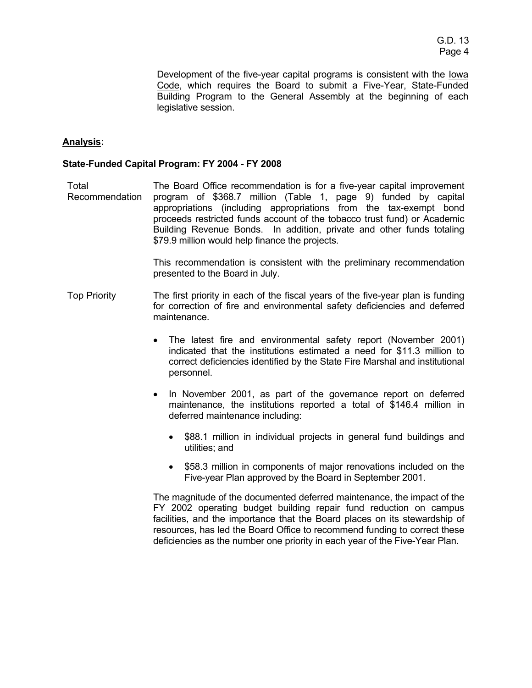Development of the five-year capital programs is consistent with the lowa Code, which requires the Board to submit a Five-Year, State-Funded Building Program to the General Assembly at the beginning of each legislative session.

# **Analysis:**

### **State-Funded Capital Program: FY 2004 - FY 2008**

Total Recommendation The Board Office recommendation is for a five-year capital improvement program of \$368.7 million (Table 1, page 9) funded by capital appropriations (including appropriations from the tax-exempt bond proceeds restricted funds account of the tobacco trust fund) or Academic Building Revenue Bonds. In addition, private and other funds totaling \$79.9 million would help finance the projects.

> This recommendation is consistent with the preliminary recommendation presented to the Board in July.

- Top Priority The first priority in each of the fiscal years of the five-year plan is funding for correction of fire and environmental safety deficiencies and deferred maintenance.
	- The latest fire and environmental safety report (November 2001) indicated that the institutions estimated a need for \$11.3 million to correct deficiencies identified by the State Fire Marshal and institutional personnel.
	- In November 2001, as part of the governance report on deferred maintenance, the institutions reported a total of \$146.4 million in deferred maintenance including:
		- \$88.1 million in individual projects in general fund buildings and utilities; and
		- \$58.3 million in components of major renovations included on the Five-year Plan approved by the Board in September 2001.

The magnitude of the documented deferred maintenance, the impact of the FY 2002 operating budget building repair fund reduction on campus facilities, and the importance that the Board places on its stewardship of resources, has led the Board Office to recommend funding to correct these deficiencies as the number one priority in each year of the Five-Year Plan.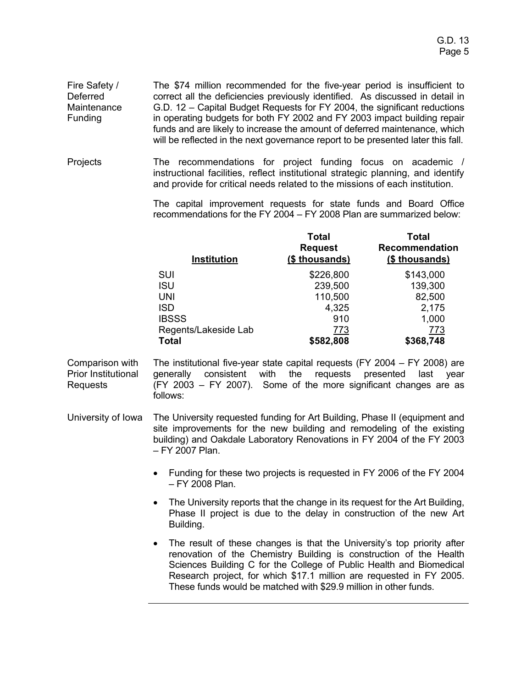Fire Safety / Deferred **Maintenance** Funding The \$74 million recommended for the five-year period is insufficient to correct all the deficiencies previously identified. As discussed in detail in G.D. 12 – Capital Budget Requests for FY 2004, the significant reductions in operating budgets for both FY 2002 and FY 2003 impact building repair funds and are likely to increase the amount of deferred maintenance, which will be reflected in the next governance report to be presented later this fall.

Projects The recommendations for project funding focus on academic / instructional facilities, reflect institutional strategic planning, and identify and provide for critical needs related to the missions of each institution.

> The capital improvement requests for state funds and Board Office recommendations for the FY 2004 – FY 2008 Plan are summarized below:

| <b>Total</b><br><b>Request</b><br>(\$ thousands) | Total<br><b>Recommendation</b><br>(\$ thousands) |
|--------------------------------------------------|--------------------------------------------------|
| \$226,800                                        | \$143,000                                        |
| 239,500                                          | 139,300                                          |
| 110,500                                          | 82,500                                           |
| 4,325                                            | 2,175                                            |
| 910                                              | 1,000                                            |
| 773                                              | 773                                              |
| \$582,808                                        | \$368,748                                        |
|                                                  |                                                  |

- Comparison with Prior Institutional Requests The institutional five-year state capital requests (FY 2004 – FY 2008) are generally consistent with the requests presented last year (FY 2003 – FY 2007). Some of the more significant changes are as follows:
- University of Iowa The University requested funding for Art Building, Phase II (equipment and site improvements for the new building and remodeling of the existing building) and Oakdale Laboratory Renovations in FY 2004 of the FY 2003 – FY 2007 Plan.
	- Funding for these two projects is requested in FY 2006 of the FY 2004 – FY 2008 Plan.
	- The University reports that the change in its request for the Art Building, Phase II project is due to the delay in construction of the new Art Building.
	- The result of these changes is that the University's top priority after renovation of the Chemistry Building is construction of the Health Sciences Building C for the College of Public Health and Biomedical Research project, for which \$17.1 million are requested in FY 2005. These funds would be matched with \$29.9 million in other funds.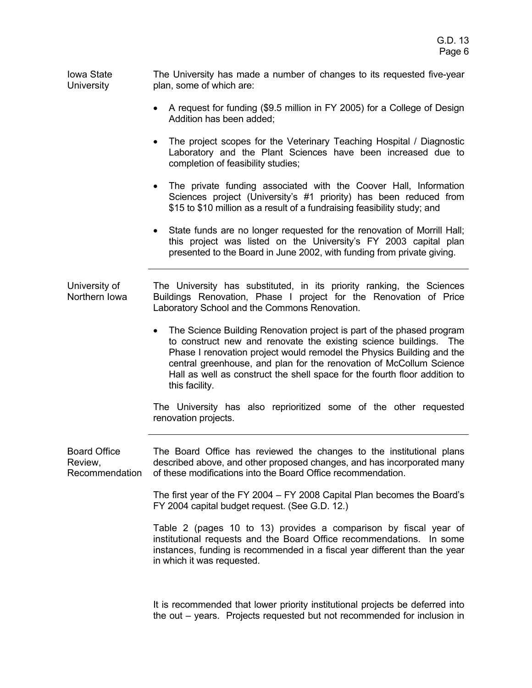Iowa State University The University has made a number of changes to its requested five-year plan, some of which are:

- A request for funding (\$9.5 million in FY 2005) for a College of Design Addition has been added;
- The project scopes for the Veterinary Teaching Hospital / Diagnostic Laboratory and the Plant Sciences have been increased due to completion of feasibility studies;
- The private funding associated with the Coover Hall, Information Sciences project (University's #1 priority) has been reduced from \$15 to \$10 million as a result of a fundraising feasibility study; and
- State funds are no longer requested for the renovation of Morrill Hall; this project was listed on the University's FY 2003 capital plan presented to the Board in June 2002, with funding from private giving.

University of Northern Iowa The University has substituted, in its priority ranking, the Sciences Buildings Renovation, Phase I project for the Renovation of Price Laboratory School and the Commons Renovation.

> • The Science Building Renovation project is part of the phased program to construct new and renovate the existing science buildings. The Phase I renovation project would remodel the Physics Building and the central greenhouse, and plan for the renovation of McCollum Science Hall as well as construct the shell space for the fourth floor addition to this facility.

> The University has also reprioritized some of the other requested renovation projects.

Board Office Review, Recommendation The Board Office has reviewed the changes to the institutional plans described above, and other proposed changes, and has incorporated many of these modifications into the Board Office recommendation.

> The first year of the FY 2004 – FY 2008 Capital Plan becomes the Board's FY 2004 capital budget request. (See G.D. 12.)

> Table 2 (pages 10 to 13) provides a comparison by fiscal year of institutional requests and the Board Office recommendations. In some instances, funding is recommended in a fiscal year different than the year in which it was requested.

> It is recommended that lower priority institutional projects be deferred into the out – years. Projects requested but not recommended for inclusion in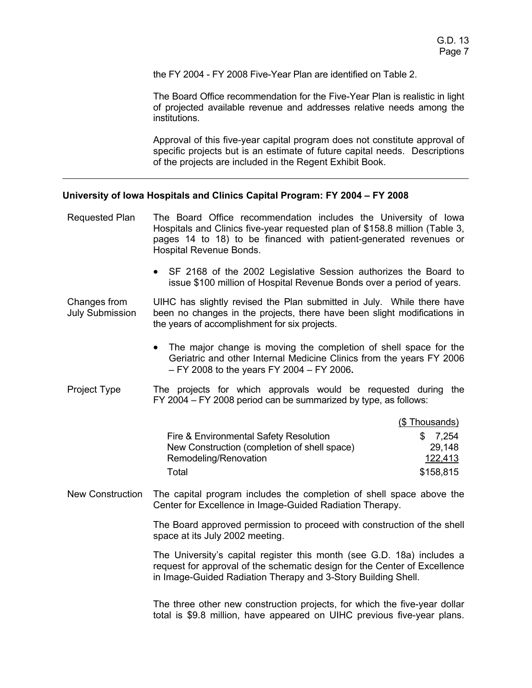the FY 2004 - FY 2008 Five-Year Plan are identified on Table 2.

The Board Office recommendation for the Five-Year Plan is realistic in light of projected available revenue and addresses relative needs among the institutions.

Approval of this five-year capital program does not constitute approval of specific projects but is an estimate of future capital needs. Descriptions of the projects are included in the Regent Exhibit Book.

## **University of Iowa Hospitals and Clinics Capital Program: FY 2004 – FY 2008**

- Requested Plan The Board Office recommendation includes the University of Iowa Hospitals and Clinics five-year requested plan of \$158.8 million (Table 3, pages 14 to 18) to be financed with patient-generated revenues or Hospital Revenue Bonds.
	- SF 2168 of the 2002 Legislative Session authorizes the Board to issue \$100 million of Hospital Revenue Bonds over a period of years.

Changes from July Submission UIHC has slightly revised the Plan submitted in July. While there have been no changes in the projects, there have been slight modifications in the years of accomplishment for six projects.

- The major change is moving the completion of shell space for the Geriatric and other Internal Medicine Clinics from the years FY 2006 – FY 2008 to the years FY 2004 – FY 2006**.**
- Project Type The projects for which approvals would be requested during the FY 2004 – FY 2008 period can be summarized by type, as follows:

|                                              | (\$Thousands) |
|----------------------------------------------|---------------|
| Fire & Environmental Safety Resolution       | \$7.254       |
| New Construction (completion of shell space) | 29.148        |
| Remodeling/Renovation                        | 122,413       |
| Total                                        | \$158,815     |

New Construction The capital program includes the completion of shell space above the Center for Excellence in Image-Guided Radiation Therapy.

> The Board approved permission to proceed with construction of the shell space at its July 2002 meeting.

> The University's capital register this month (see G.D. 18a) includes a request for approval of the schematic design for the Center of Excellence in Image-Guided Radiation Therapy and 3-Story Building Shell.

> The three other new construction projects, for which the five-year dollar total is \$9.8 million, have appeared on UIHC previous five-year plans.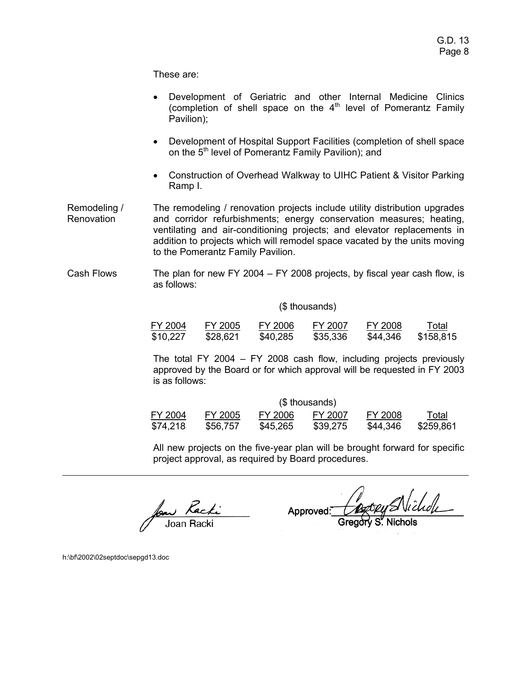These are:

- Development of Geriatric and other Internal Medicine Clinics (completion of shell space on the  $4<sup>th</sup>$  level of Pomerantz Family Pavilion);
- Development of Hospital Support Facilities (completion of shell space on the 5<sup>th</sup> level of Pomerantz Family Pavilion); and
- Construction of Overhead Walkway to UIHC Patient & Visitor Parking Ramp I.
- Remodeling / Renovation The remodeling / renovation projects include utility distribution upgrades and corridor refurbishments; energy conservation measures; heating, ventilating and air-conditioning projects; and elevator replacements in addition to projects which will remodel space vacated by the units moving to the Pomerantz Family Pavilion.
- Cash Flows The plan for new FY 2004 FY 2008 projects, by fiscal year cash flow, is as follows:

## (\$ thousands)

| FY 2004  | FY 2005  | FY 2006  | FY 2007  | FY 2008  | Total     |
|----------|----------|----------|----------|----------|-----------|
| \$10,227 | \$28,621 | \$40,285 | \$35,336 | \$44,346 | \$158,815 |

The total FY 2004 – FY 2008 cash flow, including projects previously approved by the Board or for which approval will be requested in FY 2003 is as follows:

|          |          |          | (\$ thousands) |          |           |
|----------|----------|----------|----------------|----------|-----------|
| FY 2004  | FY 2005  | FY 2006  | FY 2007        | FY 2008  | Total     |
| \$74,218 | \$56,757 | \$45,265 | \$39,275       | \$44,346 | \$259,861 |

All new projects on the five-year plan will be brought forward for specific project approval, as required by Board procedures.

foar *Rachi*<br>Joan Racki

Bory SNichol Approved:

h:\bf\2002\02septdoc\sepgd13.doc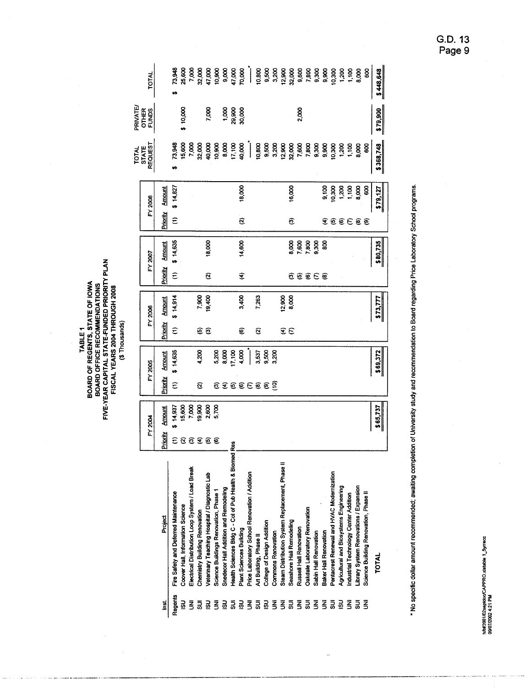| TABLE <sub>1</sub> | BOARD OF REGENTS, STATE OF IOWA | BOARD OFFICE RECOMMENDATIONS | FIVE-YEAR CAPITAL STATE-FUNDED PRIORITY PLAN | FISCAL YEARS 2004 THROUGH 2008 | (\$Thousands) |
|--------------------|---------------------------------|------------------------------|----------------------------------------------|--------------------------------|---------------|
|--------------------|---------------------------------|------------------------------|----------------------------------------------|--------------------------------|---------------|

 $\hat{\mathcal{A}}$ 

|         | <b>TOTAL</b>              |                | 73,948                                          | 25,600                           | 7,000                                            |                               | 32,000<br>47,000<br>47,000<br>9,000<br>47,000 |                                       |                                       |                                                            | 70,000                   | $\begin{array}{c} \hline \end{array}$                                                                                 | 10,800                 | 9,500                      |                           | 3,200<br>12,900<br>32,000                       |                           |                         | 9,600<br>7,800                       | 9,300                 | 9,900                        |                                           | 0.300<br>1.700<br>1.100                 |                                       | 8,000                                         | 8                                     | \$448,648 |
|---------|---------------------------|----------------|-------------------------------------------------|----------------------------------|--------------------------------------------------|-------------------------------|-----------------------------------------------|---------------------------------------|---------------------------------------|------------------------------------------------------------|--------------------------|-----------------------------------------------------------------------------------------------------------------------|------------------------|----------------------------|---------------------------|-------------------------------------------------|---------------------------|-------------------------|--------------------------------------|-----------------------|------------------------------|-------------------------------------------|-----------------------------------------|---------------------------------------|-----------------------------------------------|---------------------------------------|-----------|
| PRIVATE | OTHER<br>FUNDS            |                |                                                 | \$10,000                         |                                                  |                               | 7,000                                         |                                       |                                       | 000 00<br>006 62<br>00 00                                  |                          |                                                                                                                       |                        |                            |                           |                                                 |                           | 2,000                   |                                      |                       |                              |                                           |                                         |                                       |                                               |                                       | \$79,900  |
|         | TOTAL<br>STATE<br>REQUEST |                | 73,948<br>m                                     | 15,600                           |                                                  |                               | 7,000<br>2,000<br>3,000<br>3,000              |                                       | 8,000<br>17,100                       |                                                            | 40,000                   | $\begin{array}{c} \hline \end{array}$                                                                                 | 10,800                 |                            | 9,500<br>3,200            | 12,900<br>32,000                                |                           | 7,600                   | 7,800                                | 9,300                 | 9,900                        | 10,300                                    | 1,200                                   | 1,100                                 | 8,000                                         | 8                                     | \$368,748 |
|         | FY 2008                   | <b>Amount</b>  | \$14,827                                        |                                  |                                                  |                               |                                               |                                       |                                       |                                                            | 18,000                   |                                                                                                                       |                        |                            |                           |                                                 | 16,000                    |                         |                                      |                       | 9,100                        | 10,300                                    | 1,200                                   | 1,100                                 | 8,000                                         | 8                                     | 579,127   |
|         |                           | Priority       | $\widehat{\epsilon}$                            |                                  |                                                  |                               |                                               |                                       |                                       |                                                            | $\widehat{\mathfrak{S}}$ |                                                                                                                       |                        |                            |                           |                                                 | ම                         |                         |                                      |                       | €                            | 60E00                                     |                                         |                                       |                                               |                                       |           |
|         | FY 2007                   | <b>Amount</b>  | \$14,635                                        |                                  |                                                  |                               | 18,000                                        |                                       |                                       |                                                            | 14,600                   |                                                                                                                       |                        |                            |                           |                                                 | 8,000                     | 7,600                   | 7.800                                | 9,300                 | 88                           |                                           |                                         |                                       |                                               |                                       | \$80,735  |
|         |                           | Priority       | $\widehat{\epsilon}$                            |                                  |                                                  |                               | Q                                             |                                       |                                       |                                                            | T                        |                                                                                                                       |                        |                            |                           |                                                 | ව                         | 6666                    |                                      |                       |                              |                                           |                                         |                                       |                                               |                                       |           |
|         | FY 2006                   | <b>Arnount</b> | \$14,914                                        |                                  |                                                  | 7,900<br>004,01               |                                               |                                       |                                       |                                                            | 3,400                    |                                                                                                                       | 7,263                  |                            |                           | 12,900                                          | 8,000                     |                         |                                      |                       |                              |                                           |                                         |                                       |                                               |                                       | \$73,777  |
|         |                           | Priority       | $\widehat{\epsilon}$                            |                                  |                                                  | ଛ                             | ම                                             |                                       |                                       |                                                            | €                        |                                                                                                                       | ø                      |                            |                           |                                                 | $\widehat{\mathbf{z}}\in$ |                         |                                      |                       |                              |                                           |                                         |                                       |                                               |                                       |           |
|         |                           |                |                                                 |                                  |                                                  |                               |                                               |                                       |                                       |                                                            |                          |                                                                                                                       |                        |                            |                           |                                                 |                           |                         |                                      |                       |                              |                                           |                                         |                                       |                                               |                                       |           |
|         |                           | <b>Amount</b>  | \$14,635                                        |                                  |                                                  | 4,200                         |                                               | 5,200                                 | 8,000                                 | 17,100                                                     | 4,000                    | $\begin{array}{c} \begin{array}{c} \begin{array}{c} \begin{array}{c} \end{array} \end{array} \end{array} \end{array}$ | 3,537                  | 9,500                      | 3,200                     |                                                 |                           |                         |                                      |                       |                              |                                           |                                         |                                       |                                               |                                       | \$69,372  |
|         | FY 2005                   | Priority       | ε                                               |                                  |                                                  | Ø                             |                                               |                                       |                                       |                                                            |                          |                                                                                                                       | <b>O C O O C O O O</b> |                            |                           |                                                 |                           |                         |                                      |                       |                              |                                           |                                         |                                       |                                               |                                       |           |
|         |                           | Amount         | \$14,93                                         | 15,600                           | 7,000                                            | 19,900                        | 2,600                                         | 5,700                                 |                                       |                                                            |                          |                                                                                                                       |                        |                            |                           |                                                 |                           |                         |                                      |                       |                              |                                           |                                         |                                       |                                               |                                       | \$65,737  |
|         | FY 2004                   | Priority       |                                                 | <b>E S S S S S</b>               |                                                  |                               |                                               |                                       |                                       |                                                            |                          |                                                                                                                       |                        |                            |                           |                                                 |                           |                         |                                      |                       |                              |                                           |                                         |                                       |                                               |                                       |           |
|         |                           | Project        | Fire Safety and Deferred Maintenance<br>Regents | Coover Hall, Information Science | Electrical Distribution Loop System / Load Break | Chemistry Building Renovation | Veterinary Teaching Hospital / Diagnostic Lab | Science Buildings Renovation, Phase 1 | Snedecor Hall Addition and Remodeling | Res<br>Health Sciences Bidg C - Col of Pub Health & Biomed | Plant Sciences Building  | Price Laboratory School Renovation / Addition                                                                         | Art Building, Phase II | College of Design Addition | <b>Commons Renovation</b> | Steam Distribution System Replacement, Phase II | Seashore Hall Remodeling  | Russell Hall Renovation | <b>Dakdale Laboratory Renovation</b> | Sabin Hall Renovation | <b>Baker Hall Renovation</b> | Pentacrest Renewal and HVAC Modernization | Agricultural and Biosystems Engineering | Industrial Technology Center Addition | <b>Library System Renovations / Expansion</b> | Science Building Renovation, Phase II | TOTAL     |

\* No specific dollar amount recommended; awaiting completion of University study and recommendation to Board regarding Price Laboratory School programs.

G.D. 13<br>Page 9

h/bf/2001/02septdoc/CAPPRO.xistable 1\_5yrrecc<br>09/07/2002 4:21 PM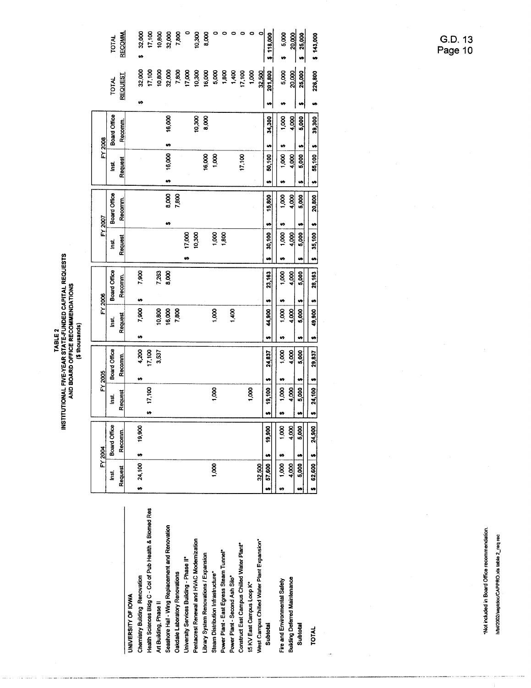|                                                         |    | Request      | œ         |
|---------------------------------------------------------|----|--------------|-----------|
| <b>JNIVERSITY OF IOWA</b>                               |    |              |           |
| Chemistry Building Renovation                           | ÷  | 24,100       | s         |
| tealth Sciences Bldg C - Col of Pub Health & Biomed Res |    |              |           |
| <b>Art Building, Phase II</b>                           |    |              |           |
| Seashore Hall - Wing Replacement and Renovation         |    |              |           |
| <b>Dakdale Laboratory Renovations</b>                   |    |              |           |
| Inversity Services Building - Phase II*                 |    |              |           |
| Pentacrest Renewal and HVAC Modernization               |    |              |           |
| <b>Ibrary System Renovations / Expansion</b>            |    |              |           |
| Steam Distribution Infrastructure*                      |    | 1,000        |           |
| ower Plant - East Egress Steam Tunnel*                  |    |              |           |
| ower Plant - Second Ash Silo*                           |    |              |           |
| Construct East Campus Chilled Water Plant*              |    |              |           |
| I5 KV East Campus Loop K*                               |    |              |           |
| Nest Campus Chilled Water Plant Expansion*              |    | 32,500       |           |
| Subtotal                                                | ٤f | 57,600       | $\bullet$ |
| Fire and Environmental Safety                           | t9 | <b>1,000</b> | ø         |
| <b>Building Deferred Maintenance</b>                    |    | 4,000        |           |
| Subtotal                                                |    | 5,000        | e,        |
|                                                         |    |              |           |

**TOTAL** 

TABLE 2<br>INSTITUTIONAL FIVE-YEAR STATE-FUNDED CAPITAL REQUESTS<br>AND BOARD OFFICE RECOMMENDATIONS<br>(\$ thousands)

|         | <b>TOTAL</b> | RECOMM.        | 32,000<br>u) | 17,100 | 10,800<br>32,000 |        | 7,800 |        | 10,300 | 8,000  | 0     | ۰     | 0           | ۰      | ۰     | O      | \$118,000       | 5,000<br>U)   | 20,000 | 25,000<br>u | \$143,000      |
|---------|--------------|----------------|--------------|--------|------------------|--------|-------|--------|--------|--------|-------|-------|-------------|--------|-------|--------|-----------------|---------------|--------|-------------|----------------|
|         | <b>TOTAL</b> | <b>REQUEST</b> | 32,000       | 17,100 | 10,800           | 32,000 | 7,800 | 17,000 | 10,300 | 16,000 | 5,000 | 800   | $rac{6}{1}$ | 17,100 | 1,000 | 32,500 | 201,800         | 5,000         | 20,000 | 25,000      | 226,800        |
|         |              |                | H            |        |                  |        |       |        |        |        |       |       |             |        |       |        | u               | w             |        | ⇔           | 'n             |
|         | Board Office | Recomm.        |              |        |                  | 16,000 |       |        | 10,300 | 8,000  |       |       |             |        |       |        | 34,300          | 1,000         | 4,000  | 5,000       | 39,300         |
| FY 2008 |              |                |              |        |                  | w      |       |        |        |        |       |       |             |        |       |        | U,              | U)            |        | w           | $\blacksquare$ |
|         | İnst.        | Request        |              |        |                  | 16,000 |       |        |        | 16,000 | 1,000 |       |             | 17,100 |       |        | 50,100          | 1,000         | 4,000  | 5,000       | 55,100         |
|         |              |                |              |        |                  | U)     |       |        |        |        |       |       |             |        |       |        |                 | e)            |        | t,          | ņ              |
|         | Board Office | Recomm.        |              |        |                  | 8,000  | 7,800 |        |        |        |       |       |             |        |       |        | 15,800          | 1,000         | 4,000  | 5,000       | 20,800         |
| FY 2007 |              |                |              |        |                  | U)     |       |        |        |        |       |       |             |        |       |        | u               |               |        | ø           |                |
|         | Isi          | Request        |              |        |                  |        |       | 17,000 | 10,300 |        | 8     | 1,800 |             |        |       |        | 30,100          | 1,000         | 4,000  | 5,000       | $35,100$ \$    |
|         |              |                |              |        |                  |        |       | ø      |        |        |       |       |             |        |       |        |                 | u,            |        | e,          | u              |
|         |              |                |              |        |                  |        |       |        |        |        |       |       |             |        |       |        |                 |               |        |             |                |
|         |              |                | 7,900        |        | 7,263            | 8,000  |       |        |        |        |       |       |             |        |       |        | 23,163          | 1,000         | 4,000  | 5,000       | 28,163         |
|         | Board Office | Recomm.        | H            |        |                  |        |       |        |        |        |       |       |             |        |       |        | u               |               |        | u           | u              |
| FY 2006 | ist.         |                | 7,900        |        | 10,800           | 16,000 | 7,800 |        |        |        | 1,000 |       | 1,400       |        |       |        | 44,900          | 1,000         | 4,000  | 5,000       | 49,900         |
|         |              | Request        | H            |        |                  |        |       |        |        |        |       |       |             |        |       |        | u               | s,            |        | t.          | $\bullet$      |
|         |              |                | 4,200        | 17,100 | 3,537            |        |       |        |        |        |       |       |             |        |       |        | 24,837          | 1,000         | 4,000  | 5,000       | 29,837         |
|         | Board Office | Recomm.        | H            |        |                  |        |       |        |        |        |       |       |             |        |       |        |                 | u             |        | u           | t,             |
| FY 2005 | isi.         |                |              | 17,100 |                  |        |       |        |        |        | 1,000 |       |             |        | 1,000 |        |                 | 1,000         | 4,000  | 5,000       |                |
|         |              | Request        |              | Ø      |                  |        |       |        |        |        |       |       |             |        |       |        | $$ 19,100$   \$ | ø             |        | u           | \$ 24,100      |
|         |              |                | 19,900       |        |                  |        |       |        |        |        |       |       |             |        |       |        | 19,900          | $\frac{8}{1}$ | 4,000  | 5,000       | 24,900         |
|         | Board Office | Recomm         | u)           |        |                  |        |       |        |        |        |       |       |             |        |       |        | u               | H             |        | 41          |                |
| FY 2004 | lad.         | Request        | \$24,100     |        |                  |        |       |        |        |        | 1,000 |       |             |        |       | 32,500 | 57,600<br>u     | 1,000<br>÷9   | 4,000  | 5,000       | 62,600<br>u,   |

\*Not included in Board Office recommendation.

G.D. 13<br>Page 10

h/bf/2002/septdoc/CAPPRO.xls table 2\_req rec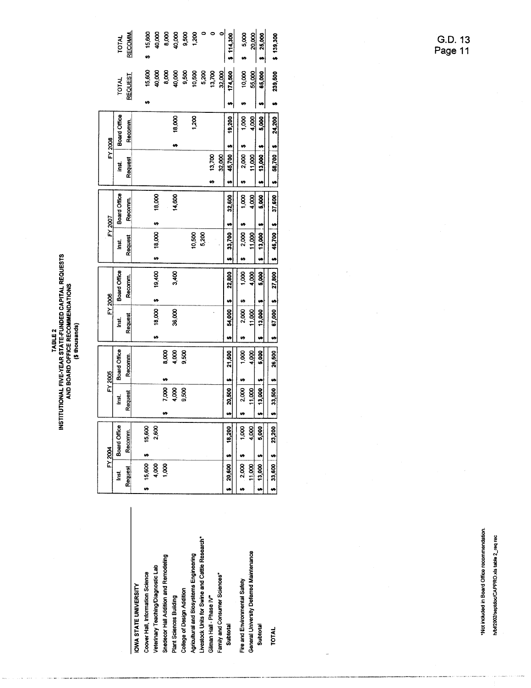| INSTITUTIONAL FIVE-YEAR STATE-FUNDED CAPITAL REQUESTS<br>AND BOARD OFFICE RECOMMENDATIONS<br>(\$thousands)<br>TABLE <sub>2</sub> |
|----------------------------------------------------------------------------------------------------------------------------------|
|----------------------------------------------------------------------------------------------------------------------------------|

|                                                |                        | FY 2004      |    |                                            | FY 2005                    |   | FY 2006        |              |   | FY 2007     |               |   |             | FY 2008       |            |              |              |
|------------------------------------------------|------------------------|--------------|----|--------------------------------------------|----------------------------|---|----------------|--------------|---|-------------|---------------|---|-------------|---------------|------------|--------------|--------------|
|                                                | inst.                  | Board Office |    | ă                                          | Board Office               |   | ii<br>ا        | Board Office |   | š           | Board Office  |   | ist.        | Board Office  |            | <b>TOTAL</b> | <b>TOTAL</b> |
|                                                | Request                | Recomm.      |    | Request                                    | Recomm.                    |   | Request        | Recomm.      |   | Request     | Recomm.       |   | Request     | <b>Recomm</b> |            | REQUEST      | RECOMM.      |
| OWA STATE UNIVERSITY                           |                        |              |    |                                            |                            |   |                |              |   |             |               |   |             |               |            |              |              |
| Coover Hall, Information Science               | 15,600<br>u            | 15,600<br>n  |    |                                            |                            |   |                |              |   |             |               |   |             |               | u          | 15,600       | 15,600       |
| Veterinary Teaching/Diagnostic Lab             | 4,000                  | 2,600        |    |                                            |                            | ø | t9<br>18,000   | 19,400       | ø | 18,000      | 18,000<br>H   |   |             |               |            | 40,000       | 40,000       |
| Snedecor Hall Addition and Remodeling          | 1,000                  |              | U) | 7.000                                      | 8,000<br>u                 |   |                |              |   |             |               |   |             |               |            | 8,000        | 8,000        |
| <b>Plant Sciences Building</b>                 |                        |              |    | 4,000                                      | 4,000                      |   | 36,000         | 3,400        |   |             | 14,600        |   |             | u             | 18,000     | 40,000       | 40,000       |
| College of Design Addition                     |                        |              |    | 9,500                                      | 9,500                      |   |                |              |   |             |               |   |             |               |            | 9,500        | 9,500        |
| Agricultural and Biosystems Engineering        |                        |              |    |                                            |                            |   |                |              |   | 10,500      |               |   |             |               | 1,200      | 10,500       | 1,200        |
| Livestock Units for Swine and Cattle Research* |                        |              |    |                                            |                            |   |                |              |   | 5,200       |               |   |             |               |            | 5,200        | $\bullet$    |
| Gilman Hall - Phase IV"                        |                        |              |    |                                            |                            |   |                |              |   |             |               | w | 13,700      |               |            | 13,700       | ۰            |
| Family and Consumer Sciences*                  |                        |              |    |                                            |                            |   |                |              |   |             |               |   | 32,000      |               |            | 32,000       | $\bullet$    |
| Subtotal                                       | $20,600$ 5             | 18,200       |    | \$ 20,500                                  | 21,500<br>$\ddot{\bullet}$ |   | u<br>54,000    | 22,800       |   | 33,700      | 32,600        |   | 45,700      | 19,200<br>ø   | u          | 174,500      | \$114,300    |
| Fire and Environmental Safety                  | $2,000$   \$           | 1,000        |    | 2,000                                      | 8                          |   | 2,000          | 000          |   | 2,000       | $\frac{8}{1}$ |   | 2,000       |               | 1,000      | 10,000       | 5,000        |
| General University Deferred Maintenance        | 11.000                 | 4,000        |    | 11,000                                     | 4,000                      |   | $\frac{8}{11}$ | 4,000        |   | 11,000      | 4,000         |   | 11,000      |               | 4,000      | 55,000       | 20,000       |
| Subtotal                                       | $$ 13,000 \frac{1}{3}$ | 5,000        |    | $$ 13,000 \frac{1}{2}$                     | 5,000                      |   | 13,000         | 5,000        | u | 13,000   \$ | 5,000         |   | $13,000$ :  |               | u<br>5,000 | 65,000       | 25,000       |
| TOTAL                                          | $$33,600$   \$         | 23,200       |    | $\begin{bmatrix} 5 & 33,500 \end{bmatrix}$ | 26,500<br>$\cdot$          | u | 67,000         | 27,800       |   | 46,700 \$   | 37,600        |   | 58,700   \$ | 24.200        |            | 239.500      | \$139.300    |

\*Not included in Board Office recommendation. h/bf/2002/septdoc/CAPPRO.xls table 2\_req rec

G.D. 13<br>Page 11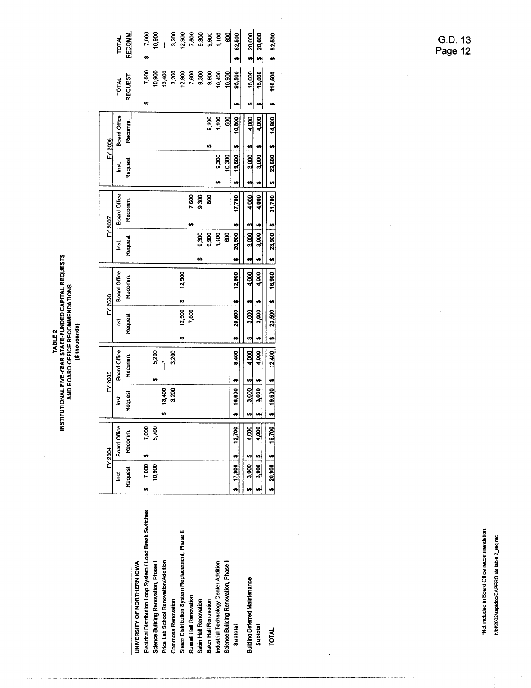TOTAL<br>RECOMM.

|                                                           |                    | FY 2004      |                                | FY 2005      |             | FY 2006      |              |         | FY 2007                           |             | FY 2008     |                     |              |
|-----------------------------------------------------------|--------------------|--------------|--------------------------------|--------------|-------------|--------------|--------------|---------|-----------------------------------|-------------|-------------|---------------------|--------------|
|                                                           | inst.              | Board Office | inst.                          | Board Office | ed.<br>Si   | Board Office |              | Isi     | Board Office                      | <u>ក្នុ</u> |             | <b>Board Office</b> | <b>TOTAL</b> |
|                                                           | Request            | Recomm       | Request                        | Recomm       | Request     | Recomm       |              | Request | Recomm.                           | Request     |             | Recomm.             | REQUEST      |
| UNIVERSITY OF NORTHERN IOWA                               |                    |              |                                |              |             |              |              |         |                                   |             |             |                     |              |
| Electrical Distribution Loop System / Load Break Switches | 7,000<br>ıĄ,       | 7,000        |                                |              |             |              |              |         |                                   |             |             |                     | 7,000        |
| Science Building Renovation, Phase I                      | 10,900             | 5,700        |                                | 5,200<br>m   |             |              |              |         |                                   |             |             |                     | 10,900       |
| Price Lab School Renovation/Addition                      |                    |              | 13,400<br>u,                   |              |             |              |              |         |                                   |             |             |                     | 13,400       |
| <b>Commons Renovation</b>                                 |                    |              | 3,200                          | 3,200        |             |              |              |         |                                   |             |             |                     | 3,200        |
| Steam Distribution System Replacement, Phase II           |                    |              |                                |              | 12,900<br>w |              | 12,900       |         |                                   |             |             |                     | 12,900       |
| Russell Hall Renovation                                   |                    |              |                                |              | 7,600       |              |              |         | 7,600<br>t.                       |             |             |                     | 7,600        |
| Sabin Hall Renovation                                     |                    |              |                                |              |             |              | e۹           | 9,300   | 9,300                             |             |             |                     | 9,300        |
| Baker Hall Renovation                                     |                    |              |                                |              |             |              |              | 9,900   | 8g                                |             | t9          | 9,100               | 9,900        |
| Industrial Technology Center Addition                     |                    |              |                                |              |             |              |              | 1,100   |                                   |             | 9,300       | 1,100               | 10,400       |
| Science Building Renovation, Phase II                     |                    |              |                                |              |             |              |              | 8       |                                   |             | 10,300      | 88                  | 10,900       |
| Subtotal                                                  | 17,900             | 12,700       | 16,600                         | 8,400<br>U)  | 20,500      | u            | 12,900       | 20,900  | 17,700<br>ŋ                       |             | 19,600      | 10,800              | 95,500<br>m  |
| <b>Building Deferred Maintenance</b>                      | --<br>3,000;<br>s, | 4,000        | 3,000<br>69                    | 4,000<br>Y)  | 3,000<br>69 | U)           | m<br>4,000   | 3.000   | 4,000<br>Y)                       | 69          | V)<br>3,000 | 8,000               | 15,000<br>w  |
| Subtotal                                                  | $\frac{1}{3}$ ,000 | 4,000        | 3,000                          | 4,000<br>u   | 3,000       | u            | 4,000        | 3,000   | 4,000<br>$\overline{\phantom{a}}$ |             | 3,000       | 4,000               | 15,000<br>u  |
| TOTAL                                                     | 20,900             | 16,700       | $19,600$   \$<br>$\frac{1}{2}$ | 12,400       | u           | $23,500$ \$  | up<br>16,900 | 23,900  | 21,700<br>$\bullet$               | 22,600<br>u | 'n          | 14,800              | 110,500      |

**8232**<br>
10.900<br>
10.900<br>
10.900<br>
10.900<br>
10.900<br>
10.900<br>
10.900<br>
10.900<br>
10.900<br>
10.900<br>
10.900<br>
10.900<br>
10.900<br>
10.900<br>
10.900<br>
10.900<br>
10.900<br>
10.900<br>
10.900<br>
10.900<br>
10.900<br>
10.900<br>
10.900<br>
10.900<br>
10.900<br>
10.900<br>
10.900

 $\frac{3}{20,000}$ 

 $$ 82,500$ 

\*Not included in Board Office recommendation. h/bf/2002/septdoc/CAPPRO.xls table 2\_req rec

G.D. 13<br>Page 12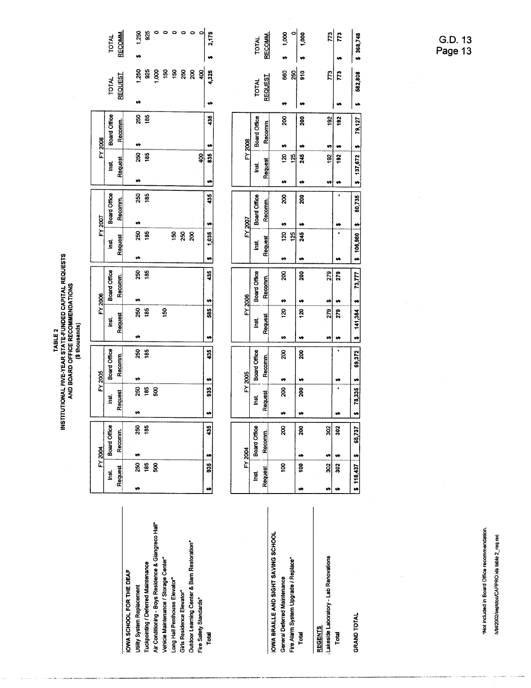|                                                     |           | FY 2004            |           |                 | FY 2005      |           | FY 2006      |    |         | FY 2007      |              | FY 2008   |                     |    |                |
|-----------------------------------------------------|-----------|--------------------|-----------|-----------------|--------------|-----------|--------------|----|---------|--------------|--------------|-----------|---------------------|----|----------------|
|                                                     | ğ         | Board Office       |           | <u>ថ្ន</u>      | Board Office | īši       | Board Office |    | inst.   | Board Office | lari<br>List |           | Board Office        |    | <b>TOTAL</b>   |
|                                                     | Request   | Recomm.            |           | Request         | Recomm.      | Request   | Recomm.      |    | Request | Recomm.      | Request      |           | Recomm.             |    | REQUEST        |
| IOWA SCHOOL FOR THE DEAF                            |           |                    |           |                 |              |           |              |    |         |              |              |           |                     |    |                |
| Utility System Replacement                          | 250<br>U) | 250<br>U)          | w         | 250             | 250<br>t9    | 250<br>Ÿ, | 250<br>÷     | w) | 250     | 250<br>U)    | H            | 250       | 250<br>s,           | m  | 1,250          |
| Tuckpointing / Deferred Maintenance                 | 185       | 185                |           | 185             | 185          | 185       | 185          |    | 185     | 185          |              | 185       | 185                 |    | 925            |
| Air Conditioning - Boys Residence & Giangreco Hall* | ន្ល       |                    |           | SO <sub>O</sub> |              |           |              |    |         |              |              |           |                     |    | 8<br>S         |
| Vehicle Maintenance / Storage Center*               |           |                    |           |                 |              | \$        |              |    |         |              |              |           |                     |    | $\frac{50}{2}$ |
| Long Hall Penthouse Elevator                        |           |                    |           |                 |              |           |              |    | 50      |              |              |           |                     |    | $rac{150}{2}$  |
| Girls Residence Elevator                            |           |                    |           |                 |              |           |              |    | 250     |              |              |           |                     |    | 250            |
| Outdoor Learning Center & Barn Restoration*         |           |                    |           |                 |              |           |              |    | 20      |              |              |           |                     |    | g              |
| Fire Safety Standards*                              |           |                    |           |                 |              |           |              |    |         |              |              | Ş,        |                     |    | $rac{1}{2}$    |
| Total                                               | 535       | 435<br>W           | ŧ,        | 935             | 35<br>w      | 585<br>u  | 435          | 'n | 1,035   | 435<br>V,    | u            | 835<br>83 | 435                 | u  | 4,325          |
|                                                     |           |                    |           |                 |              |           |              |    |         |              |              |           |                     |    |                |
|                                                     |           |                    |           |                 |              |           |              |    |         |              |              |           |                     |    |                |
|                                                     |           | FY <sub>2004</sub> |           |                 | FY 2005      |           | FY 2006      |    |         | FY 2007      |              | FY 2008   |                     |    |                |
|                                                     | Inst.     | Board Office       |           | ist.            | Board Office | g         | Board Office |    | ă       | Board Office | ă            |           | <b>Board Office</b> |    | <b>TOTAL</b>   |
|                                                     | Request   | Recomm             |           | Request         | Recomm.      | Request   | Recomm.      |    | Request | Recomm.      | Request      |           | Recomm.             |    | <b>REQUEST</b> |
| IOWA BRAILLE AND SIGHT SAVING SCHOOL                |           |                    |           |                 |              |           |              |    |         |              |              |           |                     |    |                |
| General Deferred Maintenance                        | Š.        | g                  | w         | 8               | 8<br>U)      | 20<br>m   | ន្ត<br>v     | m  | 120     | 8<br>ø       | H            | t)<br>120 | 8                   | ۵Ĥ | 88             |
| Fire Alarm System Upgrade / Replace*                |           |                    |           |                 |              |           |              |    | 125     |              |              | 125       |                     |    | 250            |
| Total                                               | å0<br>w   | 200                | <b>۱۳</b> | 200             | 200<br>u     | 120<br>u  | 200<br>u     |    | 245     | 200<br>w     | u,           | u<br>245  | 200                 |    | $\frac{6}{2}$  |
|                                                     |           |                    |           |                 |              |           |              |    |         |              |              |           |                     |    |                |

 $\begin{array}{c|c|c|c|c} \n\multicolumn{2}{c|}{\text{or}} & \multicolumn{2}{c|}{\text{or}} \\ \n\multicolumn{2}{c|}{\text{or}} & \multicolumn{2}{c|}{\text{or}} \\ \n\multicolumn{2}{c|}{\text{or}} & \multicolumn{2}{c}{\text{or}} \\ \n\multicolumn{2}{c|}{\text{or}} & \multicolumn{2}{c}{\text{or}} \\ \n\multicolumn{2}{c|}{\text{or}} & \multicolumn{2}{c}{\text{or}} \\ \n\multicolumn{2}{c|}{\text{or}} & \multicolumn{2}{c}{\text{or}} \\ \n\multic$ 

 $\bullet$ 

1,250<br>925

÷

**RECOMM.** 

TOTAL

Lakeside Laboratory - Lab Renovations

Total

**REGENTS** 

**GRAND TOTAL** 

 $\frac{1}{2}$  141,384 \$ 73,777 \$ 106,980 \$ 80,735 u 7 ÷,  $\frac{279}{279}$  $\begin{array}{c|c}\n\cdot & \bullet & \bullet \\
\hline\n279 & 7\n\end{array}$  $\bullet$ u,  $\frac{1}{2}$  78,335 \$ 69,372 u  $\overline{\cdot}$ u  $\frac{30}{3}$  $\frac{1}{2}$  118,437  $\frac{1}{2}$  65,737  $\frac{1}{\frac{30}{30}}$  $\bullet$ 

 $\overline{\phantom{a}}$ 

ទូ ន<mark>្</mark>ដូ ទូ

 $$ 1,000$ 

 $600(1, 8)$ 

TOTAL<br>RECOMM.

 $\frac{1}{2}$ 

 $\bullet$ 

 $\bullet$ 

 $\mathbb{Z}$  $\overline{r}$ 

 $\frac{3}{2}$ 192

 $\bullet$  $\bullet$ 192 192

ø **v**   $$368,748$ 

582,808

 $\bullet$ 

 $\frac{1}{2}$  137,672  $\frac{1}{2}$  19,127

TABLE 2<br>INSTITUTIONAL FIVE-YEAR STATE-FUNDED CAPITAL REQUESTS<br>AND BOARD OFFICE RECOMMENDATIONS<br>(\$ thousands)

G.D. 13<br>Page 13

\*Not included in Board Office recommendation. h/bf/2002/septdoc/CAPPRO.xls table 2\_req rec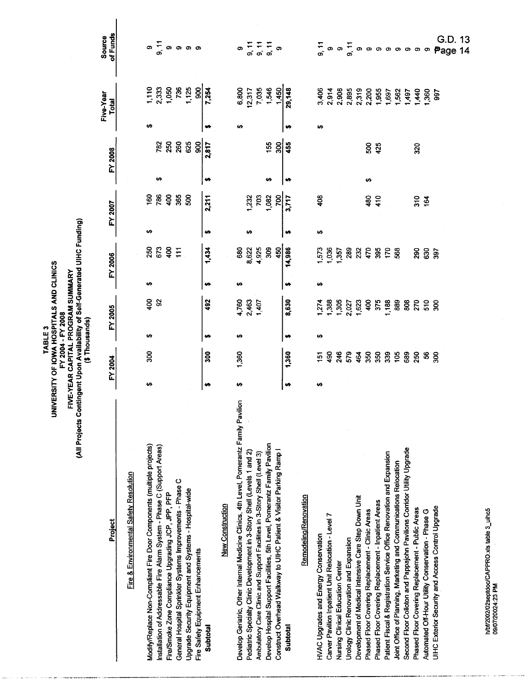|                                                                                          |    |                | (\$Thousands) |                                                     |    |                                    |    |               |    |         |    |                         |                                                  |
|------------------------------------------------------------------------------------------|----|----------------|---------------|-----------------------------------------------------|----|------------------------------------|----|---------------|----|---------|----|-------------------------|--------------------------------------------------|
| Project                                                                                  |    | FY 2004        |               | FY 2005                                             |    | FY 2006                            |    | FY 2007       |    | FY 2008 |    | Five-Year<br>Total      | of Funds<br>Source                               |
| Fire & Environmental Safety Resolution                                                   |    |                |               |                                                     |    |                                    |    |               |    |         |    |                         |                                                  |
| Modify/Replace Non-Compliant Fire Door Components (multiple projects)                    | ↮  | 300            | မာ            | 400                                                 | မာ | 250                                | ↮  | 60            |    |         | မာ | 1,110                   |                                                  |
| nstallation of Addressable Fire Alarm System - Phase C (Support Areas)                   |    |                |               | S.                                                  |    | 673                                |    | 786           | ₩  | 782     |    |                         |                                                  |
| Fire/Smoke Zone Compliance Upgrading JCP, JPP, PFP                                       |    |                |               |                                                     |    | 400                                |    | 400           |    | 250     |    | 2,333<br>1,050          | —<br>—<br>တ်                                     |
| General Hospital Sprinkler Systems Improvements - Phase C                                |    |                |               |                                                     |    | $\overline{11}$                    |    | 365           |    | 260     |    | 736                     |                                                  |
| Jpgrade Security Equipment and Systems - Hospital-wide                                   |    |                |               |                                                     |    |                                    |    | 500           |    | 625     |    | 1,125<br>900            |                                                  |
| Fire Safety Equipment Enhancements                                                       |    |                |               |                                                     |    |                                    |    |               |    | 900     |    |                         |                                                  |
| Subtotal                                                                                 | m  | 300            | m             | 492                                                 |    | 1,434                              | m  | 2,211         | ↮  | 2,817   |    | 7,254                   |                                                  |
| <b>New Construction</b>                                                                  |    |                |               |                                                     |    |                                    |    |               |    |         |    |                         |                                                  |
| Develop Geriatric, Other Internal Medicine Clinics, 4th Level, Pomerantz Family Pavilion | မာ | 1,360          | မာ            |                                                     | မာ | 680                                |    |               |    |         | မာ |                         |                                                  |
| Pediatric Specialty Clinic Development in 3-Story Shell (Levels 1 and 2)                 |    |                |               | 4,760<br>2,463<br>1,407                             |    | 8,622                              | မာ | 1,232<br>703  |    |         |    | 6,800<br>12,317         |                                                  |
| Ambulatory Care Clinic and Support Facilities in 3-Story Shell (Level 3)                 |    |                |               |                                                     |    | 4,925                              |    |               |    |         |    | 7,035                   | $\begin{array}{c} 7.7 \\ 2.7 \\ 2.9 \end{array}$ |
| Develop Hospital Support Facilities, 5th Level, Pomerantz Family Pavilion                |    |                |               |                                                     |    | 309                                |    | 1,082         | မာ | 155     |    | 1,546                   | $\frac{5}{9}$ ຈ                                  |
| Construct Overhead Walkway to UlHC Patient & Visitor Parking Ramp I                      |    |                |               |                                                     |    | 450                                |    | 700           |    | 300     |    | 1,450                   |                                                  |
| Subtotal                                                                                 | u  | 1,360          |               | 8,630                                               | m  | 14,986                             | m  | 3,717         | m  | 455     |    | 29,148                  |                                                  |
| Remodeling/Renovation                                                                    |    |                |               |                                                     |    |                                    |    |               |    |         |    |                         |                                                  |
| <b>HVAC Upgrades and Energy Conservation</b>                                             | ↮  | $\overline{5}$ | မာ            |                                                     | မာ |                                    | ÷  | $\frac{8}{3}$ |    |         | မာ |                         |                                                  |
| Carver Pavilion Inpatient Unit Relocation - Level 7                                      |    |                |               | $1,274$<br>$1,385$<br>$1,305$<br>$1,623$<br>$1,623$ |    | <b>1285</b><br>1286<br>1288<br>129 |    |               |    |         |    | 3,406<br>2,914          |                                                  |
| <b>Nursing Clinical Education Center</b>                                                 |    | ទ្ធ ឌុន        |               |                                                     |    |                                    |    |               |    |         |    |                         |                                                  |
| Jrology Clinic Renovation and Expansion                                                  |    |                |               |                                                     |    |                                    |    |               |    |         |    |                         |                                                  |
| Development of Medical Intensive Care Step Down Unit                                     |    | 464            |               |                                                     |    |                                    |    |               |    |         |    | 2,908<br>2,895<br>2,319 |                                                  |
| Phased Floor Covering Replacement - Clinic Areas                                         |    | 350            |               | 400                                                 |    |                                    |    | 480           | 49 | 500     |    | 2,200                   |                                                  |
| Phased Floor Covering Replacement - Inpatient Areas                                      |    | 350<br>339     |               | 375                                                 |    | 35 <sup>2</sup>                    |    | 410           |    | 425     |    | 1,955                   |                                                  |
| Patient Fiscal & Registration Service Office Renovation and Expansion                    |    |                |               | 1,188                                               |    |                                    |    |               |    |         |    | 1,697                   |                                                  |
| loint Office of Planning, Marketing and Communications Relocation                        |    | 105            |               |                                                     |    |                                    |    |               |    |         |    | 1,562                   |                                                  |
| Second Floor Colloton and Pappajohn Pavilions Corridor Utility Upgrade                   |    | 689            |               |                                                     |    |                                    |    |               |    |         |    | 1497                    |                                                  |
| Phased Floor Covering Replacement - Public Areas                                         |    | 250            |               |                                                     |    | 290                                |    | $rac{20}{64}$ |    | 320     |    | 1,440                   |                                                  |
| Automated Off-Hour Utility Conservation - Phase G                                        |    | \$             |               | <b>888258</b>                                       |    | 630                                |    |               |    |         |    | 1,360                   | —<br>— ത ത — ത ത ത ത ത ത ത<br>ത                  |
| JIHC Exterior Security and Access Control Upgrade                                        |    | 300            |               |                                                     |    | 397                                |    |               |    |         |    | 597                     | G.D.<br>Page                                     |
|                                                                                          |    |                |               |                                                     |    |                                    |    |               |    |         |    |                         | 13<br>14                                         |
|                                                                                          |    |                |               |                                                     |    |                                    |    |               |    |         |    |                         |                                                  |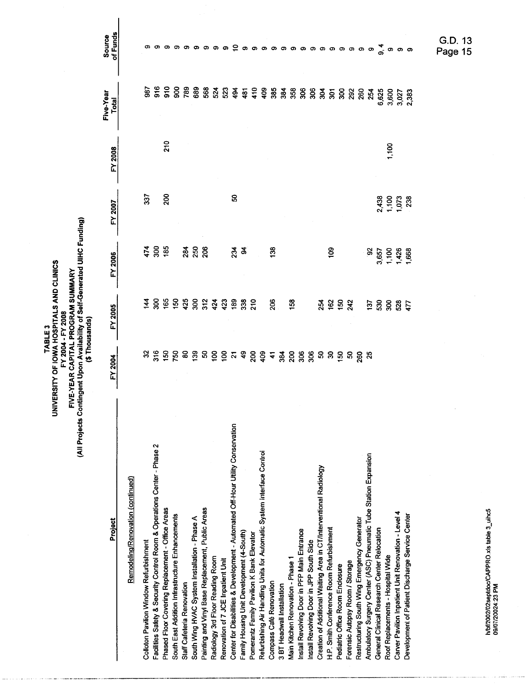TABLE 3<br>UNIVERSITY OF IOWA HOSPITALS AND CLINICS<br>FIVE-YEAR CAPITAL PROGRAM SUMMARY<br>(All Projects Contingent Upon Availability of Self-Generated UIHC Funding)<br>(\$ Thousands)

 $\overline{\phantom{a}}$ 

| Project                                                                         | FY 2004                                                                       | FY 2005               | FY 2006                       | FY 2007                        | FY 2008 | Five-Year<br>Total                                                 | of Funds<br>Source                                       |
|---------------------------------------------------------------------------------|-------------------------------------------------------------------------------|-----------------------|-------------------------------|--------------------------------|---------|--------------------------------------------------------------------|----------------------------------------------------------|
| Remodeling/Renovation (continued)                                               |                                                                               |                       |                               |                                |         |                                                                    |                                                          |
| <b>Colloton Pavilion Window Refurbishment</b>                                   |                                                                               | $\vec{A}$             |                               | 337                            |         |                                                                    |                                                          |
| Facilities Safety & Security Control Room & Operations Center - Phase 2         |                                                                               |                       |                               |                                |         |                                                                    |                                                          |
| Phased Floor Covering Replacement - Office Areas                                | <u>ន មិទ្រ មិន ទូទី ។ ទី ទី ន ទី ទី ។ ទី ទី ទី នី ទី ទី ទី ទី ទី ទី ទី ទី</u> |                       | 7888                          | 200                            | 210     | <b>\$\$\$\$\$\$\$\$\$\$\$\$\$\$\$\$\$\$\$\$\$\$\$</b> \$\$\$\$\$\$ |                                                          |
| South East Addition Infrastructure Enhancements                                 |                                                                               |                       |                               |                                |         |                                                                    |                                                          |
| Staff Cafeteria Renovation                                                      |                                                                               |                       |                               |                                |         |                                                                    |                                                          |
| South Wing HVAC System Installation - Phase A                                   |                                                                               |                       | <b>ន្តី</b> នី នី             |                                |         |                                                                    |                                                          |
| Painting and Vinyl Base Replacement, Public Areas                               |                                                                               |                       |                               |                                |         |                                                                    |                                                          |
| Radiology 3rd Floor Reading Room                                                |                                                                               |                       |                               |                                |         |                                                                    | ာ                                                        |
| Renovation of 7 JCE Inpatient Unit                                              |                                                                               |                       |                               |                                |         |                                                                    | စ                                                        |
| Center for Disabilities & Development - Automated Off-Hour Utility Conservation |                                                                               |                       | న్లో శ                        | ន                              |         |                                                                    |                                                          |
| Family Housing Unit Development (4-South)                                       |                                                                               |                       |                               |                                |         |                                                                    |                                                          |
| Pomerantz Family Pavilion K Bank Elevator                                       |                                                                               |                       |                               |                                |         |                                                                    |                                                          |
| Refurbishing Air Handling Units for Automatic System Interface Control          |                                                                               |                       |                               |                                |         |                                                                    |                                                          |
| Compass Café Renovation                                                         |                                                                               | 8                     | 138                           |                                |         |                                                                    |                                                          |
| 3 BT Headwall Installation                                                      |                                                                               |                       |                               |                                |         |                                                                    |                                                          |
| Main Kitchen Renovation - Phase 1                                               |                                                                               | $\frac{58}{2}$        |                               |                                |         |                                                                    |                                                          |
| Install Revolving Door in PFP Main Entrance                                     |                                                                               |                       |                               |                                |         |                                                                    |                                                          |
| Install Revolving Door in JPP South Side                                        |                                                                               |                       |                               |                                |         |                                                                    |                                                          |
| Creation of Additional Waiting Area in CT/Interventional Radiology              |                                                                               |                       |                               |                                |         |                                                                    |                                                          |
| H.P. Smith Conference Room Refurbishment                                        |                                                                               |                       | ဍ                             |                                |         |                                                                    |                                                          |
| Pediatric Office Room Enclosure                                                 |                                                                               |                       |                               |                                |         |                                                                    |                                                          |
| Forensic Autopsy Room / Storage                                                 |                                                                               | 3262                  |                               |                                |         |                                                                    |                                                          |
| Restructuring South Wing Emergency Generator                                    |                                                                               |                       |                               |                                |         |                                                                    |                                                          |
| Ambulatory Surgery Center (ASC) Pneumatic Tube Station Expansion                |                                                                               |                       |                               |                                |         | 254                                                                |                                                          |
| General Clinical Research Center Relocation                                     |                                                                               |                       |                               |                                |         |                                                                    |                                                          |
| Roof Replacements - Hospital Wide                                               |                                                                               |                       |                               |                                | 1,100   |                                                                    |                                                          |
| Carver Pavilion Inpatient Unit Renovation - Level 4                             |                                                                               | <b>ដូ</b> នី នី នី ដូ | 92<br>3,657<br>1,426<br>1,668 | 2,438<br>1,102<br>1,073<br>238 |         | 6,625<br>5,600<br>5,7,833<br>2,7,83                                | င္ ၈ ၈ ၈ ၈ ၈ ၈ ၈ ၈ ၈ ၈ ၈ ၈ ၈ ၈ $\sigma$ ၈ ၈ ၈ ၈ $\sigma$ |
| Development of Patient Discharge Service Center                                 |                                                                               |                       |                               |                                |         |                                                                    |                                                          |
|                                                                                 |                                                                               |                       |                               |                                |         |                                                                    |                                                          |

h/bf/2002/02septdoc/CAPPRO.xis table 3\_uihc5<br>09/07/20024:23 PM

G.D. 13<br>Page 15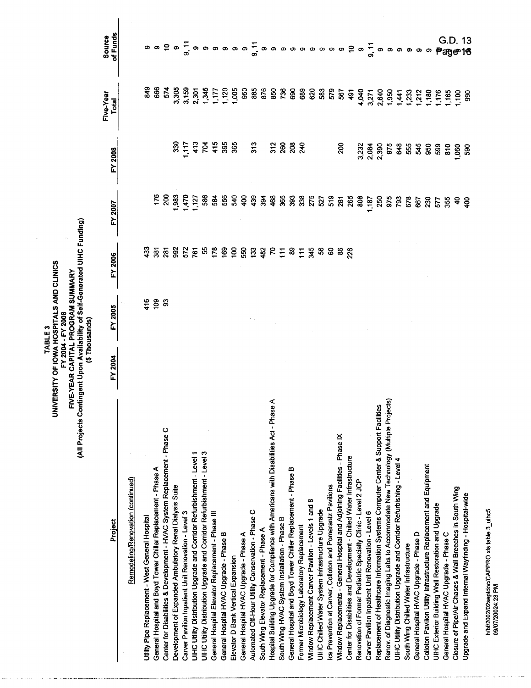TABLE 3<br>UNIVERSITY OF IOWA HOSPITALS AND CLINICS<br>FIVE-YEAR CAPITAL PROGRAM SUMMARY<br>(All Projects Contingent Upon Availability of Self-Generated UIHC Funding)<br>(\$ Thousands)

| Project                                                                                 | FY 2004 | FY 2005           | FY 2006                 | FY 2007                                         | FY 2008                   | Five-Year<br>Total                                                                             | of Funds<br>Source                                                                                                               |
|-----------------------------------------------------------------------------------------|---------|-------------------|-------------------------|-------------------------------------------------|---------------------------|------------------------------------------------------------------------------------------------|----------------------------------------------------------------------------------------------------------------------------------|
| Remodeling/Renovation (continued)                                                       |         |                   |                         |                                                 |                           |                                                                                                |                                                                                                                                  |
|                                                                                         |         |                   |                         |                                                 |                           |                                                                                                |                                                                                                                                  |
| Utility Pipe Replacement - West General Hospital                                        |         |                   | ទួ                      |                                                 |                           | $\frac{3}{4}$                                                                                  |                                                                                                                                  |
| General Hospital and Boyd Tower Chiller Replacement - Phase A                           |         | $\frac{416}{109}$ | $\overline{\mathbf{g}}$ | 76                                              |                           | 666                                                                                            |                                                                                                                                  |
| Center for Disabilities & Development - HVAC System Replacement - Phase C               |         | ္တ                | $\overline{281}$        | $\approx$                                       |                           |                                                                                                |                                                                                                                                  |
| Development of Expanded Ambulatory Renal Dialysis Suite                                 |         |                   | 98                      | 38                                              |                           |                                                                                                |                                                                                                                                  |
| Carver Pavilion Inpatient Unit Renovation - Level 3                                     |         |                   | 572                     | 470                                             |                           |                                                                                                |                                                                                                                                  |
| UIHC Utility Distribution Upgrade and Corridor Refurbishment - Level 1                  |         |                   |                         |                                                 |                           |                                                                                                |                                                                                                                                  |
| UIHC Utility Distribution Upgrade and Corridor Refurbishment - Level 3                  |         |                   |                         | <b>1,127</b><br>586                             |                           |                                                                                                |                                                                                                                                  |
| General Hospital Elevator Replacement - Phase III                                       |         |                   |                         |                                                 |                           |                                                                                                |                                                                                                                                  |
| General Hospital HVAC Upgrade - Phase B                                                 |         |                   |                         | នី នី នី                                        | 325488                    |                                                                                                | ာ ၈ ၁ ၈ <del>၈ ၈ ၈ ၈ ၈ ၈ ၈ ၈ ၈ ၈ ၈ ၈ ၈ ၈ ၈ ၉ ၈ ၇ ၈ ၈ </del> ၈ ၈ <del>၈ ၈ ၈ </del> ၈ <sup>၈ </sup> ၈ <sup>၈ ၈ ၈</sup> ၈ <i>၈ </i> |
| Elevator D Bank Vertical Expansion                                                      |         |                   |                         |                                                 |                           |                                                                                                |                                                                                                                                  |
| General Hospital HVAC Upgrade - Phase A                                                 |         |                   |                         | $rac{6}{3}$                                     |                           |                                                                                                |                                                                                                                                  |
| Automated Off-Hour Utility Conservation - Phase C                                       |         |                   |                         | 439                                             | 313                       |                                                                                                |                                                                                                                                  |
| South Wing Elevator Replacement - Phase A                                               |         |                   |                         |                                                 |                           |                                                                                                |                                                                                                                                  |
| Hospital Building Upgrade for Compliance with Americans with Disabilities Act - Phase A |         |                   |                         |                                                 |                           |                                                                                                |                                                                                                                                  |
| South Wing HVAC System Installation - Phase B                                           |         |                   |                         |                                                 |                           |                                                                                                |                                                                                                                                  |
| General Hospital and Boyd Tower Chiller Replacement - Phase B                           |         |                   |                         |                                                 | <u>ិន ខ្លួ ទុ</u>         |                                                                                                |                                                                                                                                  |
| Former Microbiology Laboratory Replacement                                              |         |                   |                         |                                                 |                           |                                                                                                |                                                                                                                                  |
| Window Replacement Carver Pavilion - Levels 1 and 8                                     |         |                   |                         |                                                 |                           |                                                                                                |                                                                                                                                  |
| UIHC Chilled Water System Infrastructure Upgrade                                        |         |                   |                         |                                                 |                           |                                                                                                |                                                                                                                                  |
| Ice Prevention at Carver, Colloton and Pomerantz Pavilions                              |         |                   |                         |                                                 |                           |                                                                                                |                                                                                                                                  |
| Window Replacements - General Hospital and Adjoining Facilities - Phase IX              |         |                   |                         | <b><i><u> និទី និនី និង ប្អូន ទី ទី</u></i></b> | 200                       |                                                                                                |                                                                                                                                  |
| Center for Disabilities and Development - Chilled Water Infrastructure                  |         |                   |                         | 265                                             |                           |                                                                                                |                                                                                                                                  |
| Renovation of Former Pediatric Specialty Clinic - Level 2 JCP                           |         |                   |                         | 808                                             |                           |                                                                                                |                                                                                                                                  |
| Carver Pavilion Inpatient Unit Renovation - Level 6                                     |         |                   |                         | 187<br>250                                      |                           |                                                                                                |                                                                                                                                  |
| Replacement of Healthcare Information Systems Computer Center & Support Facilities      |         |                   |                         |                                                 | ನೆ ಸಹ<br>ನಿರು<br>ನಿ ನಿ ನಿ |                                                                                                |                                                                                                                                  |
| Renov. of Diagnostic Imaging Labs to Accommodate New Technology (Multiple Projects)     |         |                   |                         |                                                 |                           |                                                                                                |                                                                                                                                  |
| UIHC Utility Distribution Upgrade and Corridor Refurbishing - Level 4                   |         |                   |                         | <b>8780</b><br>8780                             | 53535<br>53535            | 4,040<br>3,271<br>3,360<br>4,950<br>4,941<br>4,333<br>4,1,860<br>4,1,865<br>4,1,865<br>4,1,865 |                                                                                                                                  |
| South Wing Chilled Water Infrastructure                                                 |         |                   |                         |                                                 |                           |                                                                                                |                                                                                                                                  |
| General Hospital HVAC Upgrade - Phase D                                                 |         |                   |                         | 667                                             |                           |                                                                                                |                                                                                                                                  |
| Colloton Pavilion Utility Infrastructure Replacement and Equipment                      |         |                   |                         |                                                 |                           |                                                                                                |                                                                                                                                  |
| UlHC Exterior Building Wall Restoration and Upgrade                                     |         |                   |                         | នី ដូន                                          | 599                       |                                                                                                |                                                                                                                                  |
| General Hospital HVAC Upgrade - Phase C                                                 |         |                   |                         |                                                 | $\frac{6}{6}$             |                                                                                                |                                                                                                                                  |
| Closure of Pipe/Air Chases & Wall Breeches in South Wing                                |         |                   |                         |                                                 |                           |                                                                                                | G.D. 13<br>Page 16                                                                                                               |
| Upgrade and Expand Internal Wayfinding - Hospital-wide                                  |         |                   |                         | ခ် ခိ                                           | 060<br>090                | $rac{6}{5}$                                                                                    |                                                                                                                                  |
|                                                                                         |         |                   |                         |                                                 |                           |                                                                                                |                                                                                                                                  |

h/bf/2002/02septdoc/CAPPRO.xts table 3\_uihc5<br>09/07/20024:23 PM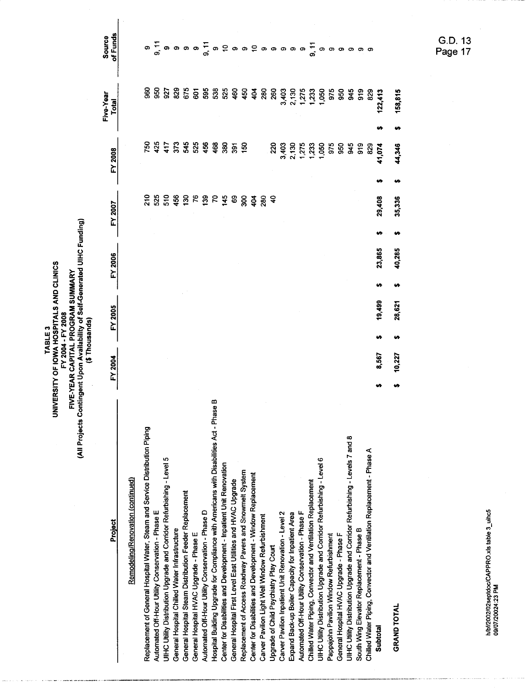TABLE 3<br>UNIVERSITY OF IOWA HOSPITALS AND CLINICS<br>FIVE-YEAR CAPITAL PROGRAM SUMMARY<br>(All Projects Contingent Upon Availability of Self-Generated UIHC Funding)<br>(\$ Thousands)

| Project                                                                                    | FY 2004 | FY 2005 | FY 2006 | <b>FY 2007</b>   | FY 2008                             | Five-Year<br>Total                        | of Funds<br><b>Source</b> |  |
|--------------------------------------------------------------------------------------------|---------|---------|---------|------------------|-------------------------------------|-------------------------------------------|---------------------------|--|
|                                                                                            |         |         |         |                  |                                     |                                           |                           |  |
| Remodeling/Renovation (continued)                                                          |         |         |         |                  |                                     |                                           |                           |  |
| Replacement of General Hospital Water, Steam and Service Distribution Piping               |         |         |         |                  | ខ្ល                                 |                                           |                           |  |
| Automated Off-Hour Utility Conservation - Phase E                                          |         |         |         |                  | $425$<br>$417$                      |                                           |                           |  |
| UIHC Utility Distribution Upgrade and Corndor Refurbishing - Level 5                       |         |         |         |                  |                                     | 957<br>927                                |                           |  |
| General Hospital Chilled Water Infrastructure                                              |         |         |         |                  |                                     | 829                                       |                           |  |
| General Hospital Steam Distribution Feeder Replacement                                     |         |         |         |                  |                                     |                                           |                           |  |
| General Hospital HVAC Upgrade - Phase E                                                    |         |         |         |                  |                                     |                                           |                           |  |
| Automated Off-Hour Utility Conservation - Phase D                                          |         |         |         |                  | <b>ភូមិ ភូមិ ឆ្នំ</b> ខ្លួ ខ្លួ មិន |                                           |                           |  |
| m<br>Hospital Building Upgrade for Compliance with Americans with Disabilities Act - Phase |         |         |         |                  |                                     |                                           |                           |  |
| Center for Disabilities and Development - Inpatient Unit Renovation                        |         |         |         |                  |                                     |                                           |                           |  |
| General Hospital First Level East Utilities and HVAC Upgrade                               |         |         |         |                  |                                     |                                           |                           |  |
| Replacement of Access Roadway Pavers and Snowmelt System                                   |         |         |         |                  |                                     | 450                                       |                           |  |
| Center for Disabilities and Development - Window Replacement                               |         |         |         | <b>ី</b> ខ្លី 3្ |                                     |                                           |                           |  |
| Carver Pavilion Light Well Window Refurbishment                                            |         |         |         | <u>ន្ថ</u>       |                                     | $404$<br>$280$                            |                           |  |
| Upgrade of Child Psychiatry Play Court                                                     |         |         |         |                  |                                     | 260                                       |                           |  |
| Carver Pavilion Inpatient Unit Renovation - Level 2                                        |         |         |         |                  |                                     |                                           |                           |  |
| Expand Back-up Boiler Capacity for Inpatient Area                                          |         |         |         |                  |                                     |                                           |                           |  |
| Automated Off-Hour Utility Conservation - Phase F                                          |         |         |         |                  |                                     |                                           |                           |  |
| Chilled Water Piping, Convector and Ventilation Replacement                                |         |         |         |                  |                                     | 3,403<br>2,130<br>1,275<br>1,050<br>1,050 |                           |  |
| UIHC Utility Distribution Upgrade and Corridor Refurbishing - Level 6                      |         |         |         |                  |                                     |                                           |                           |  |
| Pappajohn Pavilion Window Refurbishment                                                    |         |         |         |                  |                                     |                                           |                           |  |
| General Hospital HVAC Upgrade - Phase F                                                    |         |         |         |                  |                                     | 975<br>950                                |                           |  |
| UIHC Utility Distribution Upgrade and Corridor Refurbishing - Levels 7 and 8               |         |         |         |                  |                                     | \$                                        |                           |  |
| South Wing Elevator Replacement - Phase B                                                  |         |         |         |                  |                                     |                                           |                           |  |
| Chilled Water Piping, Convector and Ventilation Replacement - Phase A                      |         |         |         |                  |                                     | 919<br>829                                |                           |  |
| Subtotal                                                                                   | 8,567   | 19,499  | 23,865  | 29,408           | 41,074                              | 122,413                                   |                           |  |
| <b>GRAND TOTAL</b>                                                                         | 10,227  | 28,621  | 40,285  | 35,336           | 44,346                              | 158,815                                   |                           |  |
|                                                                                            |         |         |         |                  |                                     |                                           |                           |  |